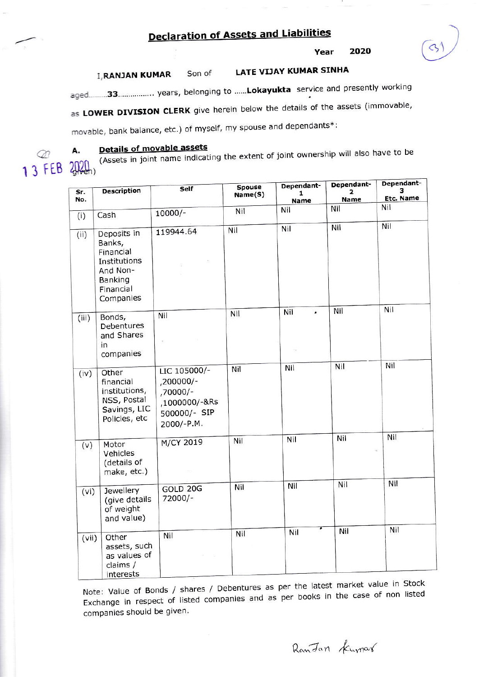# **Declaration of Assets and Liabilities**

2020 Year

#### **LATE VIJAY KUMAR SINHA I, RANJAN KUMAR** Son of

aged.........33.................. years, belonging to ......Lokayukta service and presently working

as LOWER DIVISION CLERK give herein below the details of the assets (immovable,

movable, bank balance, etc.) of myself, my spouse and dependants\*:

M 13 FEB

А.

## **Details of movable assets**

(Assets in joint name indicating the extent of joint ownership will also have to be 2020,

| Sr.<br>No. | <b>Description</b>                                                                                         | Self<br>10000/-                                                                     | Spouse<br>Name(S)<br>Nil | Dependant-<br>1<br>Name<br>Nil | Dependant-<br>$\mathbf{z}$<br>Name<br>Nil | Dependant-<br>3<br>Etc. Name<br>Nil |
|------------|------------------------------------------------------------------------------------------------------------|-------------------------------------------------------------------------------------|--------------------------|--------------------------------|-------------------------------------------|-------------------------------------|
| (i)        | Cash                                                                                                       |                                                                                     |                          |                                |                                           |                                     |
| (i)        | Deposits in<br>Banks,<br>Financial<br>Institutions<br>And Non-<br><b>Banking</b><br>Financial<br>Companies | 119944.64                                                                           | Nil                      | Nil                            | Nil                                       | Nil                                 |
| (iii)      | Bonds,<br>Debentures<br>and Shares<br>in<br>companies                                                      | Nil                                                                                 | Nil                      | Nil<br>$\cdot$                 | Nil                                       | Nil                                 |
| (iv)       | Other<br>financial<br>institutions,<br>NSS, Postal<br>Savings, LIC<br>Policies, etc                        | LIC 105000/-<br>-200000/<br>,70000/-<br>,1000000/-&Rs<br>500000/- SIP<br>2000/-P.M. | Nil                      | Nil                            | Nil                                       | Nil                                 |
| (v)        | Motor<br>Vehicles<br>(details of<br>make, etc.)                                                            | M/CY 2019                                                                           | Nil                      | Nil                            | Nil                                       | Nil                                 |
| (vi)       | Jewellery<br>(give details<br>of weight<br>and value)                                                      | GOLD 20G<br>72000/-                                                                 | Nil                      | Nil                            | Nil                                       | Nil                                 |
|            | Nil<br>Other<br>(vii)<br>assets, such<br>as values of<br>claims /<br>interests                             |                                                                                     | Nil                      | Nil                            | Nil                                       | Nil                                 |

Note: Value of Bonds / shares / Debentures as per the latest market value in Stock Exchange in respect of listed companies and as per books in the case of non listed companies should be given.

RanJan Kumar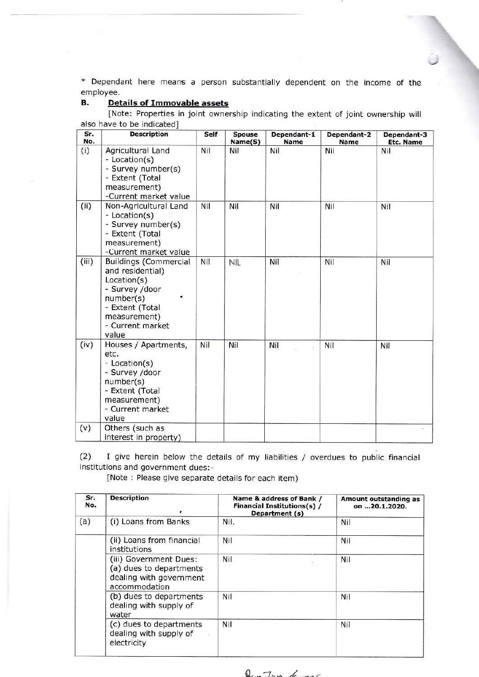\* Dependant here means a person substantially dependent on the income of the employee.

:.

### B. Details of Immovable assets

[Note: Properties in joint ownership indicating the extent of joint ownership will also have to be indicated]

| Sr.<br>No. | <b>Description</b>                                                                                                                                             | Self | <b>Spouse</b><br>Name(S) | Dependant-1<br>Name | Dependant-2<br>Name | Dependant-3<br>Etc. Name |
|------------|----------------------------------------------------------------------------------------------------------------------------------------------------------------|------|--------------------------|---------------------|---------------------|--------------------------|
| (i)        | Agricultural Land<br>- Location(s)<br>- Survey number(s)<br>- Extent (Total<br>measurement)<br>-Current market value                                           | Nil  | Nil                      | Nil                 | Nil                 | Nil                      |
| (ii)       | Non-Agricultural Land<br>- Location(s)<br>- Survey number(s)<br>- Extent (Total<br>measurement)<br>-Current market value                                       | Nil  | Nil                      | Nil                 | Nil                 | Nil                      |
| (iii)      | <b>Buildings (Commercial</b><br>and residential)<br>Location(s)<br>- Survey /door<br>number(s)<br>- Extent (Total<br>measurement)<br>- Current market<br>value | Nil  | <b>NIL</b>               | Nil                 | Nil                 | Nil                      |
| (iv)       | Houses / Apartments,<br>etc.<br>- Location(s)<br>- Survey /door<br>number(s)<br>- Extent (Total<br>measurement)<br>- Current market<br>value                   | Nil  | Nil                      | Nil                 | Nil                 | Nil                      |
| (v)        | Others (such as<br>interest in property)                                                                                                                       |      |                          |                     |                     |                          |

 $(2)$  I give herein below the details of my liabilities / overdues to public financia institutions and government dues:-

[Note : Please give separate details for each item)

| Sr.<br>No. | <b>Description</b>                                                                            | Name & address of Bank /<br>Financial Institutions(s) /<br>Department (s) | Amount outstanding as<br>on 20.1.2020. |
|------------|-----------------------------------------------------------------------------------------------|---------------------------------------------------------------------------|----------------------------------------|
| (a)        | (i) Loans from Banks                                                                          | Nil.                                                                      | Nil                                    |
|            | (ii) Loans from financial<br>institutions                                                     | Nil                                                                       | Nil                                    |
|            | (iii) Government Dues:<br>(a) dues to departments<br>dealing with government<br>accommodation | Nil                                                                       | Nil                                    |
|            | (b) dues to departments<br>dealing with supply of<br>water                                    | Nil                                                                       | Nil                                    |
|            | (c) dues to departments<br>dealing with supply of<br>electricity                              | Nil                                                                       | Nil                                    |

 $Q_{\rm sun}$   $7_{\rm sun}$  6.000